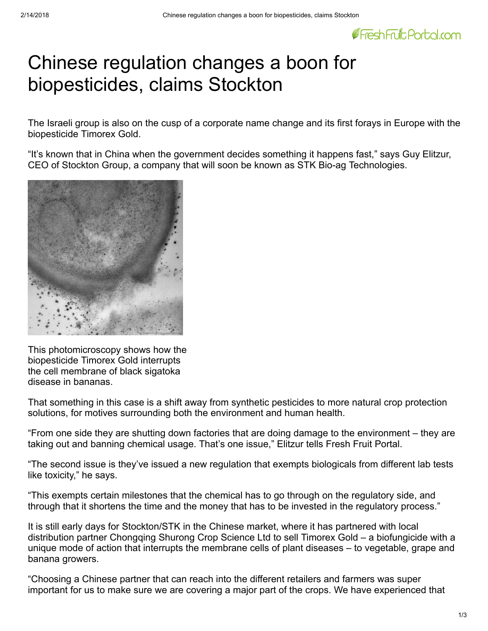

## Chinese regulation changes a boon for biopesticides, claims Stockton

The Israeli group is also on the cusp of a corporate name change and its first forays in Europe with the biopesticide Timorex Gold.

"It's known that in China when the government decides something it happens fast," says Guy Elitzur, CEO of Stockton Group, a company that will soon be known as STK Bio-ag Technologies.



This photomicroscopy shows how the biopesticide Timorex Gold interrupts the cell membrane of black sigatoka disease in bananas.

That something in this case is a shift away from synthetic pesticides to more natural crop protection solutions, for motives surrounding both the environment and human health.

"From one side they are shutting down factories that are doing damage to the environment – they are taking out and banning chemical usage. That's one issue," Elitzur tells Fresh Fruit Portal.

"The second issue is they've issued a new regulation that exempts biologicals from different lab tests like toxicity," he says.

"This exempts certain milestones that the chemical has to go through on the regulatory side, and through that it shortens the time and the money that has to be invested in the regulatory process."

It is still early days for Stockton/STK in the Chinese market, where it has partnered with local distribution partner Chongqing Shurong Crop Science Ltd to sell Timorex Gold – a biofungicide with a unique mode of action that interrupts the membrane cells of plant diseases – to vegetable, grape and banana growers.

"Choosing a Chinese partner that can reach into the different retailers and farmers was super important for us to make sure we are covering a major part of the crops. We have experienced that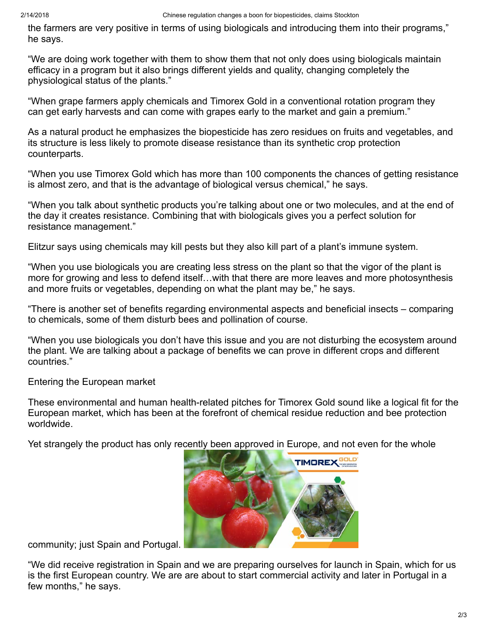the farmers are very positive in terms of using biologicals and introducing them into their programs," he says.

"We are doing work together with them to show them that not only does using biologicals maintain efficacy in a program but it also brings different yields and quality, changing completely the physiological status of the plants."

"When grape farmers apply chemicals and Timorex Gold in a conventional rotation program they can get early harvests and can come with grapes early to the market and gain a premium."

As a natural product he emphasizes the biopesticide has zero residues on fruits and vegetables, and its structure is less likely to promote disease resistance than its synthetic crop protection counterparts.

"When you use Timorex Gold which has more than 100 components the chances of getting resistance is almost zero, and that is the advantage of biological versus chemical," he says.

"When you talk about synthetic products you're talking about one or two molecules, and at the end of the day it creates resistance. Combining that with biologicals gives you a perfect solution for resistance management."

Elitzur says using chemicals may kill pests but they also kill part of a plant's immune system.

"When you use biologicals you are creating less stress on the plant so that the vigor of the plant is more for growing and less to defend itself…with that there are more leaves and more photosynthesis and more fruits or vegetables, depending on what the plant may be," he says.

"There is another set of benefits regarding environmental aspects and beneficial insects – comparing to chemicals, some of them disturb bees and pollination of course.

"When you use biologicals you don't have this issue and you are not disturbing the ecosystem around the plant. We are talking about a package of benefits we can prove in different crops and different countries."

Entering the European market

These environmental and human health-related pitches for Timorex Gold sound like a logical fit for the European market, which has been at the forefront of chemical residue reduction and bee protection worldwide.

Yet strangely the product has only re[cently been approved in Europe, and not e](http://www.freshfruitportal.com/assets/uploads/2018/02/STK-tomatoes.jpg)ven for the whole



community; just Spain and Portugal.

"We did receive registration in Spain and we are preparing ourselves for launch in Spain, which for us is the first European country. We are are about to start commercial activity and later in Portugal in a few months," he says.